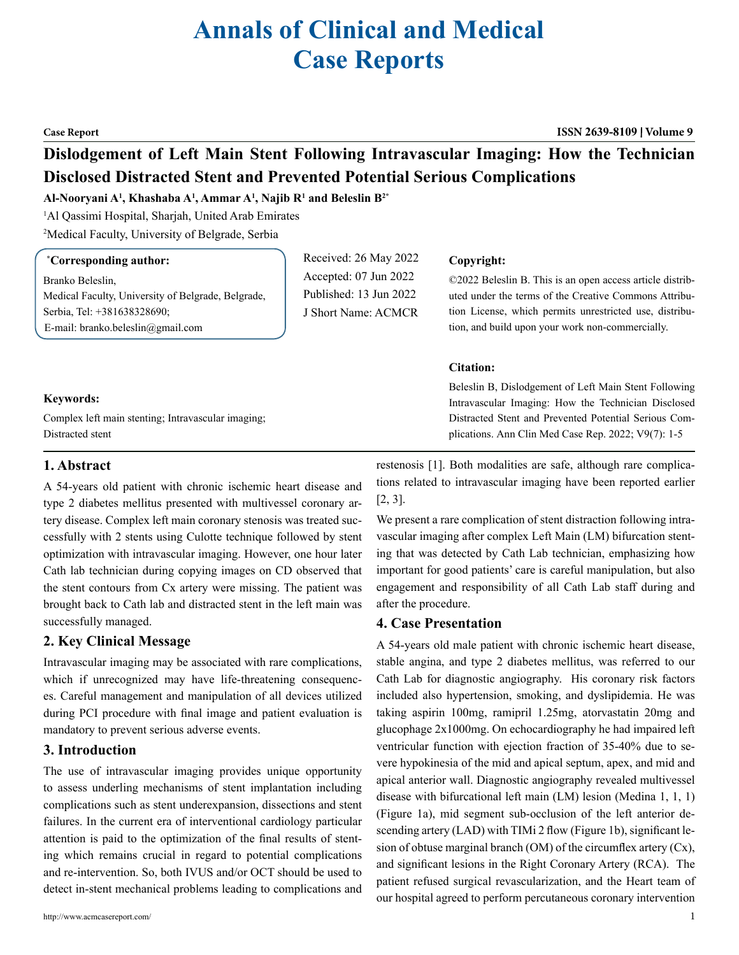# **Annals of Clinical and Medical Case Reports**

#### **Case Report ISSN 2639-8109 Volume 9**

## **Dislodgement of Left Main Stent Following Intravascular Imaging: How the Technician Disclosed Distracted Stent and Prevented Potential Serious Complications**

#### **Al-Nooryani A1 , Khashaba A1 , Ammar A1 , Najib R1 and Beleslin B2\***

1 Al Qassimi Hospital, Sharjah, United Arab Emirates

2 Medical Faculty, University of Belgrade, Serbia

#### **\* Corresponding author:**

Branko Beleslin, Medical Faculty, University of Belgrade, Belgrade, Serbia, Tel: +381638328690; E-mail: branko.beleslin@gmail.com

Received: 26 May 2022 Accepted: 07 Jun 2022 Published: 13 Jun 2022 J Short Name: ACMCR

#### **Copyright:**

©2022 Beleslin B. This is an open access article distributed under the terms of the Creative Commons Attribution License, which permits unrestricted use, distribution, and build upon your work non-commercially.

#### **Citation:**

Beleslin B, Dislodgement of Left Main Stent Following Intravascular Imaging: How the Technician Disclosed Distracted Stent and Prevented Potential Serious Complications. Ann Clin Med Case Rep. 2022; V9(7): 1-5

#### **Keywords:**

Complex left main stenting; Intravascular imaging; Distracted stent

### **1. Abstract**

A 54-years old patient with chronic ischemic heart disease and type 2 diabetes mellitus presented with multivessel coronary artery disease. Complex left main coronary stenosis was treated successfully with 2 stents using Culotte technique followed by stent optimization with intravascular imaging. However, one hour later Cath lab technician during copying images on CD observed that the stent contours from Cx artery were missing. The patient was brought back to Cath lab and distracted stent in the left main was successfully managed.

#### **2. Key Clinical Message**

Intravascular imaging may be associated with rare complications, which if unrecognized may have life-threatening consequences. Careful management and manipulation of all devices utilized during PCI procedure with final image and patient evaluation is mandatory to prevent serious adverse events.

### **3. Introduction**

The use of intravascular imaging provides unique opportunity to assess underling mechanisms of stent implantation including complications such as stent underexpansion, dissections and stent failures. In the current era of interventional cardiology particular attention is paid to the optimization of the final results of stenting which remains crucial in regard to potential complications and re-intervention. So, both IVUS and/or OCT should be used to detect in-stent mechanical problems leading to complications and

http://www.acmcasereport.com/ 1

restenosis [1]. Both modalities are safe, although rare complications related to intravascular imaging have been reported earlier [2, 3].

We present a rare complication of stent distraction following intravascular imaging after complex Left Main (LM) bifurcation stenting that was detected by Cath Lab technician, emphasizing how important for good patients' care is careful manipulation, but also engagement and responsibility of all Cath Lab staff during and after the procedure.

#### **4. Case Presentation**

A 54-years old male patient with chronic ischemic heart disease, stable angina, and type 2 diabetes mellitus, was referred to our Cath Lab for diagnostic angiography. His coronary risk factors included also hypertension, smoking, and dyslipidemia. He was taking aspirin 100mg, ramipril 1.25mg, atorvastatin 20mg and glucophage 2x1000mg. On echocardiography he had impaired left ventricular function with ejection fraction of 35-40% due to severe hypokinesia of the mid and apical septum, apex, and mid and apical anterior wall. Diagnostic angiography revealed multivessel disease with bifurcational left main (LM) lesion (Medina 1, 1, 1) (Figure 1a), mid segment sub-occlusion of the left anterior descending artery (LAD) with TIMi 2 flow (Figure 1b), significant lesion of obtuse marginal branch (OM) of the circumflex artery (Cx), and significant lesions in the Right Coronary Artery (RCA). The patient refused surgical revascularization, and the Heart team of our hospital agreed to perform percutaneous coronary intervention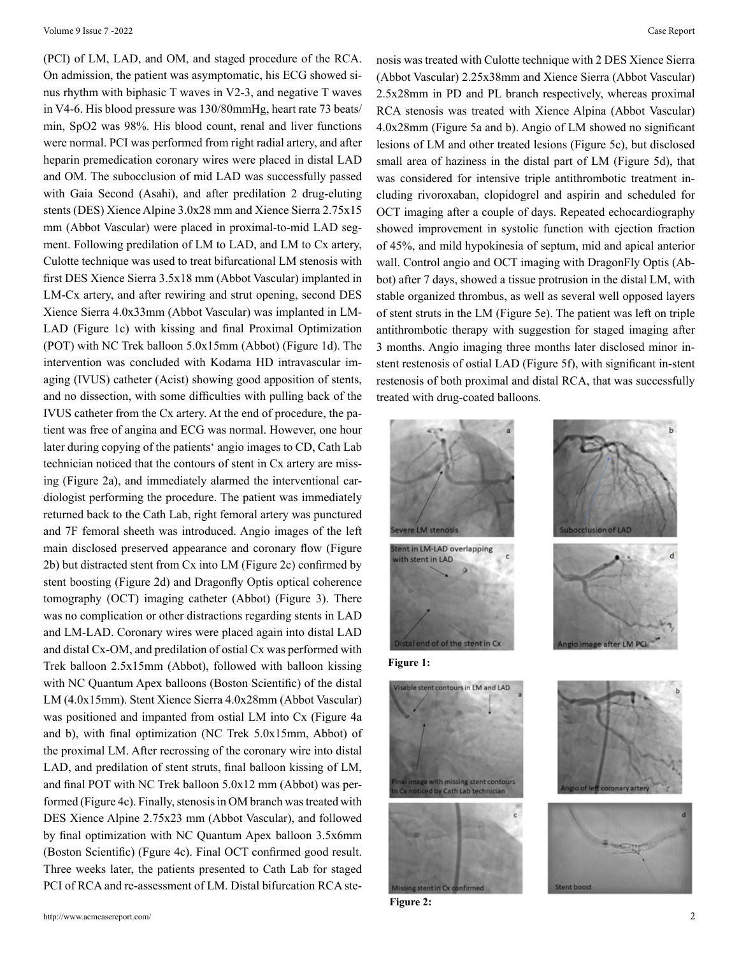(PCI) of LM, LAD, and OM, and staged procedure of the RCA. On admission, the patient was asymptomatic, his ECG showed sinus rhythm with biphasic T waves in V2-3, and negative T waves in V4-6. His blood pressure was 130/80mmHg, heart rate 73 beats/ min, SpO2 was 98%. His blood count, renal and liver functions were normal. PCI was performed from right radial artery, and after heparin premedication coronary wires were placed in distal LAD and OM. The subocclusion of mid LAD was successfully passed with Gaia Second (Asahi), and after predilation 2 drug-eluting stents (DES) Xience Alpine 3.0x28 mm and Xience Sierra 2.75x15 mm (Abbot Vascular) were placed in proximal-to-mid LAD segment. Following predilation of LM to LAD, and LM to Cx artery, Culotte technique was used to treat bifurcational LM stenosis with first DES Xience Sierra 3.5x18 mm (Abbot Vascular) implanted in LM-Cx artery, and after rewiring and strut opening, second DES Xience Sierra 4.0x33mm (Abbot Vascular) was implanted in LM-LAD (Figure 1c) with kissing and final Proximal Optimization (POT) with NC Trek balloon 5.0x15mm (Abbot) (Figure 1d). The intervention was concluded with Kodama HD intravascular imaging (IVUS) catheter (Acist) showing good apposition of stents, and no dissection, with some difficulties with pulling back of the IVUS catheter from the Cx artery. At the end of procedure, the patient was free of angina and ECG was normal. However, one hour later during copying of the patients' angio images to CD, Cath Lab technician noticed that the contours of stent in Cx artery are missing (Figure 2a), and immediately alarmed the interventional cardiologist performing the procedure. The patient was immediately returned back to the Cath Lab, right femoral artery was punctured and 7F femoral sheeth was introduced. Angio images of the left main disclosed preserved appearance and coronary flow (Figure 2b) but distracted stent from Cx into LM (Figure 2c) confirmed by stent boosting (Figure 2d) and Dragonfly Optis optical coherence tomography (OCT) imaging catheter (Abbot) (Figure 3). There was no complication or other distractions regarding stents in LAD and LM-LAD. Coronary wires were placed again into distal LAD and distal Cx-OM, and predilation of ostial Cx was performed with Trek balloon 2.5x15mm (Abbot), followed with balloon kissing with NC Quantum Apex balloons (Boston Scientific) of the distal LM (4.0x15mm). Stent Xience Sierra 4.0x28mm (Abbot Vascular) was positioned and impanted from ostial LM into Cx (Figure 4a and b), with final optimization (NC Trek 5.0x15mm, Abbot) of the proximal LM. After recrossing of the coronary wire into distal LAD, and predilation of stent struts, final balloon kissing of LM, and final POT with NC Trek balloon 5.0x12 mm (Abbot) was performed (Figure 4c). Finally, stenosis in OM branch was treated with DES Xience Alpine 2.75x23 mm (Abbot Vascular), and followed by final optimization with NC Quantum Apex balloon 3.5x6mm (Boston Scientific) (Fgure 4c). Final OCT confirmed good result. Three weeks later, the patients presented to Cath Lab for staged PCI of RCA and re-assessment of LM. Distal bifurcation RCA ste-

nosis was treated with Culotte technique with 2 DES Xience Sierra (Abbot Vascular) 2.25x38mm and Xience Sierra (Abbot Vascular) 2.5x28mm in PD and PL branch respectively, whereas proximal RCA stenosis was treated with Xience Alpina (Abbot Vascular) 4.0x28mm (Figure 5a and b). Angio of LM showed no significant lesions of LM and other treated lesions (Figure 5c), but disclosed small area of haziness in the distal part of LM (Figure 5d), that was considered for intensive triple antithrombotic treatment including rivoroxaban, clopidogrel and aspirin and scheduled for OCT imaging after a couple of days. Repeated echocardiography showed improvement in systolic function with ejection fraction of 45%, and mild hypokinesia of septum, mid and apical anterior wall. Control angio and OCT imaging with DragonFly Optis (Abbot) after 7 days, showed a tissue protrusion in the distal LM, with stable organized thrombus, as well as several well opposed layers of stent struts in the LM (Figure 5e). The patient was left on triple antithrombotic therapy with suggestion for staged imaging after 3 months. Angio imaging three months later disclosed minor instent restenosis of ostial LAD (Figure 5f), with significant in-stent restenosis of both proximal and distal RCA, that was successfully treated with drug-coated balloons.







**Figure 1:**





**Figure 2:**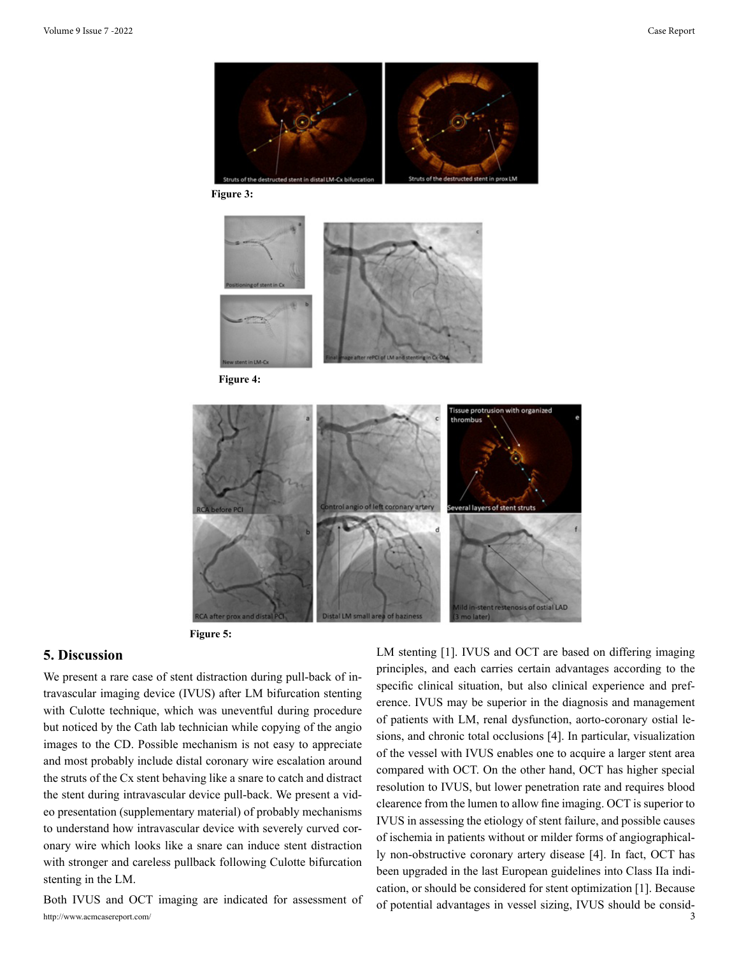

**Figure 3:**



**Figure 4:**



**Figure 5:**

#### **5. Discussion**

We present a rare case of stent distraction during pull-back of intravascular imaging device (IVUS) after LM bifurcation stenting with Culotte technique, which was uneventful during procedure but noticed by the Cath lab technician while copying of the angio images to the CD. Possible mechanism is not easy to appreciate and most probably include distal coronary wire escalation around the struts of the Cx stent behaving like a snare to catch and distract the stent during intravascular device pull-back. We present a video presentation (supplementary material) of probably mechanisms to understand how intravascular device with severely curved coronary wire which looks like a snare can induce stent distraction with stronger and careless pullback following Culotte bifurcation stenting in the LM.

http://www.acmcasereport.com/ 3 Both IVUS and OCT imaging are indicated for assessment of LM stenting [1]. IVUS and OCT are based on differing imaging principles, and each carries certain advantages according to the specific clinical situation, but also clinical experience and preference. IVUS may be superior in the diagnosis and management of patients with LM, renal dysfunction, aorto-coronary ostial lesions, and chronic total occlusions [4]. In particular, visualization of the vessel with IVUS enables one to acquire a larger stent area compared with OCT. On the other hand, OCT has higher special resolution to IVUS, but lower penetration rate and requires blood clearence from the lumen to allow fine imaging. OCT is superior to IVUS in assessing the etiology of stent failure, and possible causes of ischemia in patients without or milder forms of angiographically non-obstructive coronary artery disease [4]. In fact, OCT has been upgraded in the last European guidelines into Class IIa indication, or should be considered for stent optimization [1]. Because of potential advantages in vessel sizing, IVUS should be consid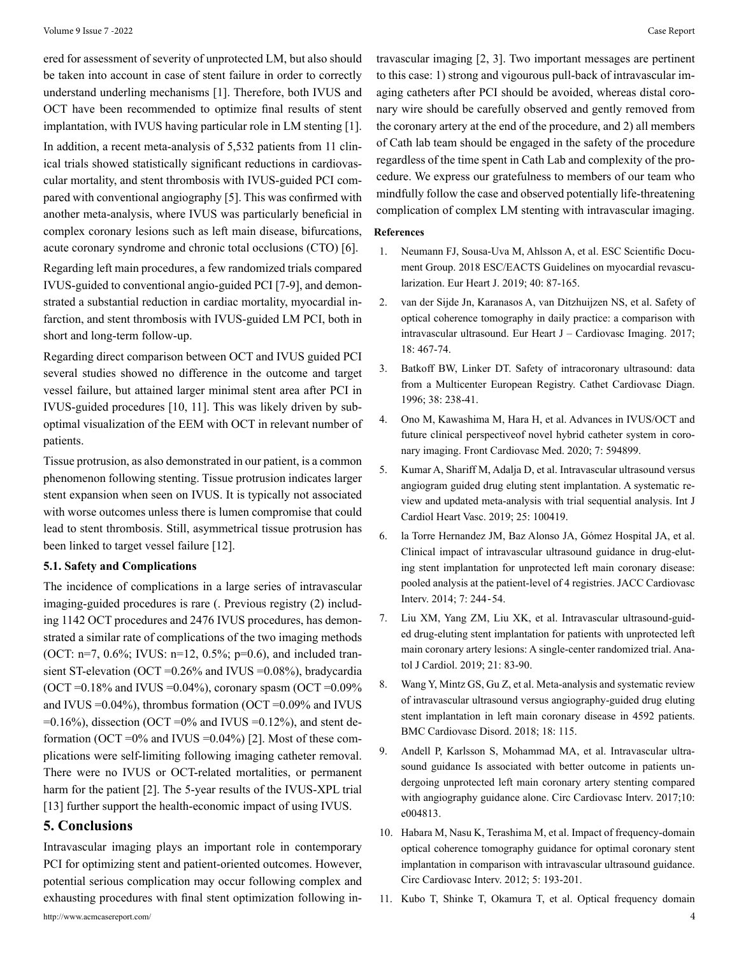ered for assessment of severity of unprotected LM, but also should be taken into account in case of stent failure in order to correctly understand underling mechanisms [1]. Therefore, both IVUS and OCT have been recommended to optimize final results of stent implantation, with IVUS having particular role in LM stenting [1]. In addition, a recent meta-analysis of 5,532 patients from 11 clinical trials showed statistically significant reductions in cardiovascular mortality, and stent thrombosis with IVUS-guided PCI compared with conventional angiography [5]. This was confirmed with another meta-analysis, where IVUS was particularly beneficial in complex coronary lesions such as left main disease, bifurcations, acute coronary syndrome and chronic total occlusions (CTO) [6].

Regarding left main procedures, a few randomized trials compared IVUS-guided to conventional angio-guided PCI [7-9], and demonstrated a substantial reduction in cardiac mortality, myocardial infarction, and stent thrombosis with IVUS-guided LM PCI, both in short and long-term follow-up.

Regarding direct comparison between OCT and IVUS guided PCI several studies showed no difference in the outcome and target vessel failure, but attained larger minimal stent area after PCI in IVUS-guided procedures [10, 11]. This was likely driven by suboptimal visualization of the EEM with OCT in relevant number of patients.

Tissue protrusion, as also demonstrated in our patient, is a common phenomenon following stenting. Tissue protrusion indicates larger stent expansion when seen on IVUS. It is typically not associated with worse outcomes unless there is lumen compromise that could lead to stent thrombosis. Still, asymmetrical tissue protrusion has been linked to target vessel failure [12].

#### **5.1. Safety and Complications**

The incidence of complications in a large series of intravascular imaging-guided procedures is rare (. Previous registry (2) including 1142 OCT procedures and 2476 IVUS procedures, has demonstrated a similar rate of complications of the two imaging methods (OCT: n=7, 0.6%; IVUS: n=12, 0.5%; p=0.6), and included transient ST-elevation (OCT =0.26% and IVUS =0.08%), bradycardia (OCT =  $0.18\%$  and IVUS =  $0.04\%$ ), coronary spasm (OCT =  $0.09\%$ ) and IVUS  $=0.04\%$ ), thrombus formation (OCT  $=0.09\%$  and IVUS  $=0.16\%$ ), dissection (OCT  $=0\%$  and IVUS  $=0.12\%$ ), and stent deformation (OCT = $0\%$  and IVUS = $0.04\%$ ) [2]. Most of these complications were self-limiting following imaging catheter removal. There were no IVUS or OCT-related mortalities, or permanent harm for the patient [2]. The 5-year results of the IVUS-XPL trial [13] further support the health-economic impact of using IVUS.

#### **5. Conclusions**

Intravascular imaging plays an important role in contemporary PCI for optimizing stent and patient-oriented outcomes. However, potential serious complication may occur following complex and exhausting procedures with final stent optimization following in-

travascular imaging [2, 3]. Two important messages are pertinent to this case: 1) strong and vigourous pull-back of intravascular imaging catheters after PCI should be avoided, whereas distal coronary wire should be carefully observed and gently removed from the coronary artery at the end of the procedure, and 2) all members of Cath lab team should be engaged in the safety of the procedure regardless of the time spent in Cath Lab and complexity of the procedure. We express our gratefulness to members of our team who mindfully follow the case and observed potentially life-threatening complication of complex LM stenting with intravascular imaging.

#### **References**

- 1. [Neumann FJ, Sousa-Uva M, Ahlsson A, et al. ESC Scientific Docu](https://pubmed.ncbi.nlm.nih.gov/30165437/)[ment Group. 2018 ESC/EACTS Guidelines on myocardial revascu](https://pubmed.ncbi.nlm.nih.gov/30165437/)[larization. Eur Heart J. 2019; 40: 87-165.](https://pubmed.ncbi.nlm.nih.gov/30165437/)
- 2. [van der Sijde Jn, Karanasos A, van Ditzhuijzen NS, et al. Safety of](https://pubmed.ncbi.nlm.nih.gov/26992420/)  [optical coherence tomography in daily practice: a comparison with](https://pubmed.ncbi.nlm.nih.gov/26992420/) [intravascular ultrasound. Eur Heart J – Cardiovasc Imaging. 2017;](https://pubmed.ncbi.nlm.nih.gov/26992420/) [18: 467-74.](https://pubmed.ncbi.nlm.nih.gov/26992420/)
- 3. [Batkoff BW, Linker DT. Safety of intracoronary ultrasound: data](https://pubmed.ncbi.nlm.nih.gov/8804778/) [from a Multicenter European Registry. Cathet Cardiovasc Diagn.](https://pubmed.ncbi.nlm.nih.gov/8804778/) [1996; 38: 238-41.](https://pubmed.ncbi.nlm.nih.gov/8804778/)
- 4. [Ono M, Kawashima M, Hara H, et al. Advances in IVUS/OCT and](https://pubmed.ncbi.nlm.nih.gov/32850981/) [future clinical perspectiveof novel hybrid catheter system in coro](https://pubmed.ncbi.nlm.nih.gov/32850981/)[nary imaging. Front Cardiovasc Med. 2020; 7: 594899.](https://pubmed.ncbi.nlm.nih.gov/32850981/)
- 5. [Kumar A, Shariff M, Adalja D, et al. Intravascular ultrasound versus](https://pubmed.ncbi.nlm.nih.gov/31517035/)  [angiogram guided drug eluting stent implantation. A systematic re](https://pubmed.ncbi.nlm.nih.gov/31517035/)[view and updated meta-analysis with trial sequential analysis. Int J](https://pubmed.ncbi.nlm.nih.gov/31517035/) [Cardiol Heart Vasc. 2019; 25: 100419.](https://pubmed.ncbi.nlm.nih.gov/31517035/)
- 6. [la Torre Hernandez JM, Baz Alonso JA, Gómez Hospital JA, et al.](https://pubmed.ncbi.nlm.nih.gov/24650399/) [Clinical impact of intravascular ultrasound guidance in drug-elut](https://pubmed.ncbi.nlm.nih.gov/24650399/)[ing stent implantation for unprotected left main coronary disease:](https://pubmed.ncbi.nlm.nih.gov/24650399/) [pooled analysis at the patient-level of 4 registries. JACC Cardiovasc](https://pubmed.ncbi.nlm.nih.gov/24650399/) [Interv. 2014; 7: 244](https://pubmed.ncbi.nlm.nih.gov/24650399/)‐54.
- 7. [Liu XM, Yang ZM, Liu XK, et al. Intravascular ultrasound-guid](https://pubmed.ncbi.nlm.nih.gov/30694800/)[ed drug-eluting stent implantation for patients with unprotected left](https://pubmed.ncbi.nlm.nih.gov/30694800/) [main coronary artery lesions: A single-center randomized trial. Ana](https://pubmed.ncbi.nlm.nih.gov/30694800/)[tol J Cardiol. 2019; 21: 83-90.](https://pubmed.ncbi.nlm.nih.gov/30694800/)
- 8. [Wang Y, Mintz GS, Gu Z, et al. Meta-analysis and systematic review](https://pubmed.ncbi.nlm.nih.gov/29898668/) [of intravascular ultrasound versus angiography-guided drug eluting](https://pubmed.ncbi.nlm.nih.gov/29898668/) [stent implantation in left main coronary disease in 4592 patients.](https://pubmed.ncbi.nlm.nih.gov/29898668/) [BMC Cardiovasc Disord. 2018; 18: 115.](https://pubmed.ncbi.nlm.nih.gov/29898668/)
- 9. [Andell P, Karlsson S, Mohammad MA, et al. Intravascular ultra](https://pubmed.ncbi.nlm.nih.gov/28487356/)[sound guidance Is associated with better outcome in patients un](https://pubmed.ncbi.nlm.nih.gov/28487356/)[dergoing unprotected left main coronary artery stenting compared](https://pubmed.ncbi.nlm.nih.gov/28487356/) [with angiography guidance alone. Circ Cardiovasc Interv. 2017;10:](https://pubmed.ncbi.nlm.nih.gov/28487356/) [e004813.](https://pubmed.ncbi.nlm.nih.gov/28487356/)
- 10. [Habara M, Nasu K, Terashima M, et al. Impact of frequency-domain](https://pubmed.ncbi.nlm.nih.gov/22456026/) [optical coherence tomography guidance for optimal coronary stent](https://pubmed.ncbi.nlm.nih.gov/22456026/) [implantation in comparison with intravascular ultrasound guidance.](https://pubmed.ncbi.nlm.nih.gov/22456026/) [Circ Cardiovasc Interv. 2012; 5: 193-201.](https://pubmed.ncbi.nlm.nih.gov/22456026/)
- 11. [Kubo T, Shinke T, Okamura T, et al. Optical frequency domain](https://pubmed.ncbi.nlm.nih.gov/29121226/)